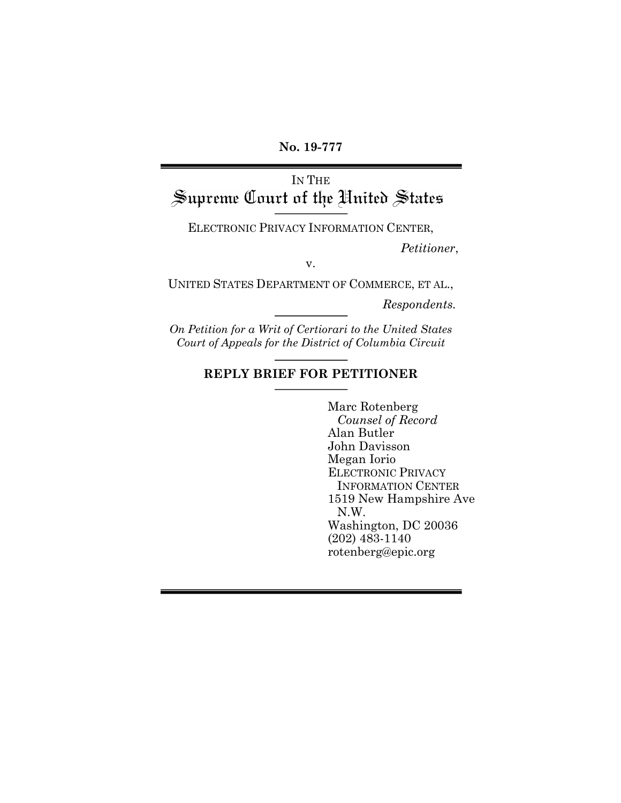**No. 19-777**

# IN THE Supreme Court of the United States

ELECTRONIC PRIVACY INFORMATION CENTER,

*Petitioner*,

v.

UNITED STATES DEPARTMENT OF COMMERCE, ET AL.,

*Respondents.*

*On Petition for a Writ of Certiorari to the United States Court of Appeals for the District of Columbia Circuit*

## **REPLY BRIEF FOR PETITIONER**

Marc Rotenberg *Counsel of Record* Alan Butler John Davisson Megan Iorio ELECTRONIC PRIVACY INFORMATION CENTER 1519 New Hampshire Ave N.W. Washington, DC 20036 (202) 483-1140 rotenberg@epic.org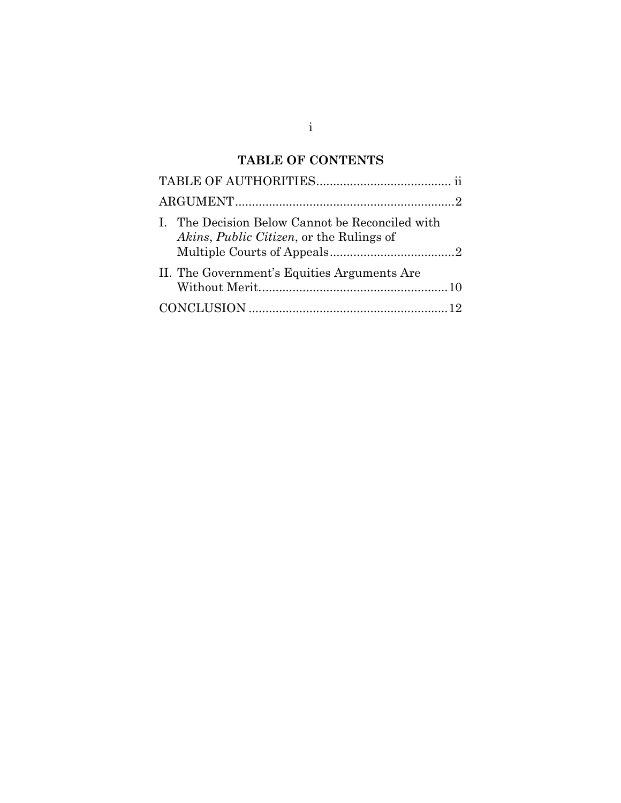# **TABLE OF CONTENTS**

| I. The Decision Below Cannot be Reconciled with<br>Akins, Public Citizen, or the Rulings of |  |
|---------------------------------------------------------------------------------------------|--|
| II. The Government's Equities Arguments Are                                                 |  |
|                                                                                             |  |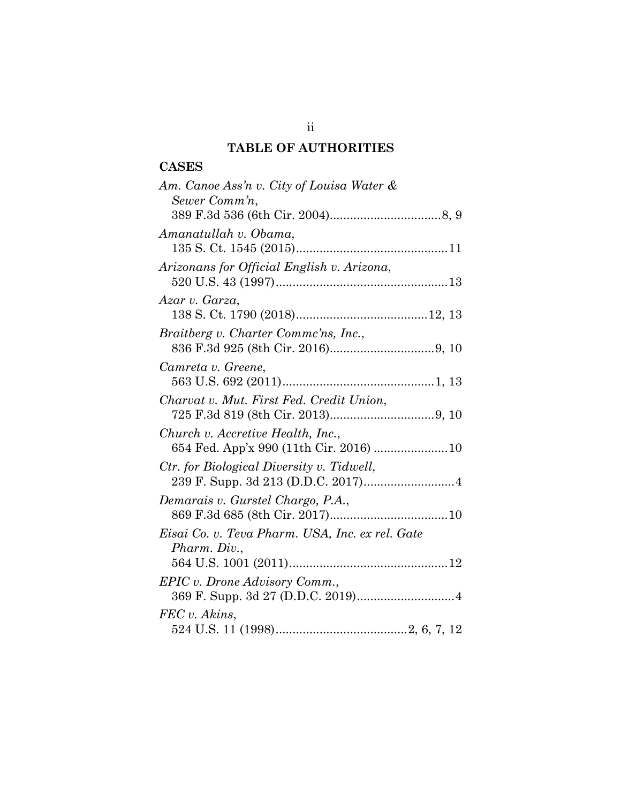# **TABLE OF AUTHORITIES**

## **CASES**

| Am. Canoe Ass'n v. City of Louisa Water &<br>Sewer Comm'n,      |
|-----------------------------------------------------------------|
|                                                                 |
| Amanatullah v. Obama,                                           |
| Arizonans for Official English v. Arizona,                      |
| Azar v. Garza,                                                  |
| Braitberg v. Charter Comme'ns, Inc.,                            |
| Camreta v. Greene,                                              |
| Charvat v. Mut. First Fed. Credit Union,                        |
| Church v. Accretive Health, Inc.,                               |
| Ctr. for Biological Diversity v. Tidwell,                       |
| Demarais v. Gurstel Chargo, P.A.,                               |
| Eisai Co. v. Teva Pharm. USA, Inc. ex rel. Gate<br>Pharm. Div., |
| EPIC v. Drone Advisory Comm.,                                   |
| FEC v. Akins.                                                   |

ii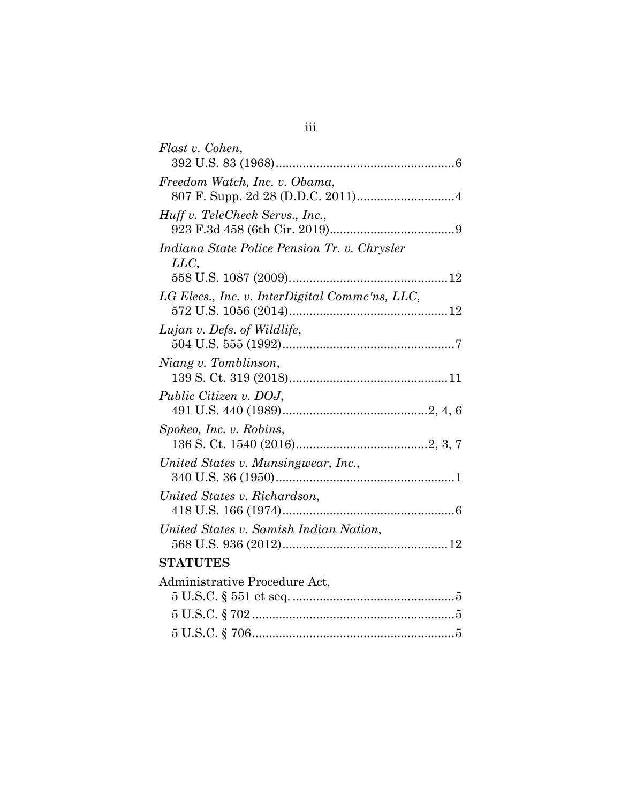| Flast v. Cohen,                                     |
|-----------------------------------------------------|
|                                                     |
| Freedom Watch, Inc. v. Obama,                       |
| Huff v. TeleCheck Servs., Inc.,                     |
| Indiana State Police Pension Tr. v. Chrysler<br>LLC |
|                                                     |
| LG Elecs., Inc. v. InterDigital Commc'ns, LLC,      |
| Lujan v. Defs. of Wildlife,                         |
| Niang v. Tomblinson,                                |
| Public Citizen v. DOJ,                              |
| Spokeo, Inc. v. Robins,                             |
| United States v. Munsingwear, Inc.,                 |
| United States v. Richardson,                        |
| United States v. Samish Indian Nation,              |
| <b>STATUTES</b>                                     |
| Administrative Procedure Act,                       |
|                                                     |
|                                                     |
|                                                     |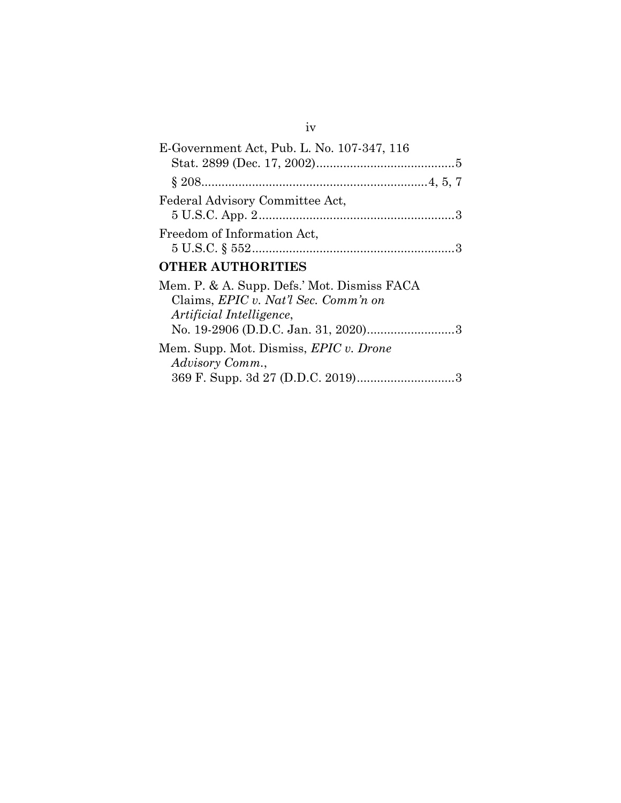| E-Government Act, Pub. L. No. 107-347, 116    |
|-----------------------------------------------|
|                                               |
|                                               |
| Federal Advisory Committee Act,               |
|                                               |
| Freedom of Information Act,                   |
| $5 \text{ U.S.C.} \S 552 \dots 3$             |
| <b>OTHER AUTHORITIES</b>                      |
| Mem. P. & A. Supp. Defs.' Mot. Dismiss FACA   |
| Claims, EPIC v. Nat'l Sec. Comm'n on          |
| Artificial Intelligence,                      |
|                                               |
| Mem. Supp. Mot. Dismiss, <i>EPIC v. Drone</i> |
| Advisory Comm.,                               |
|                                               |

iv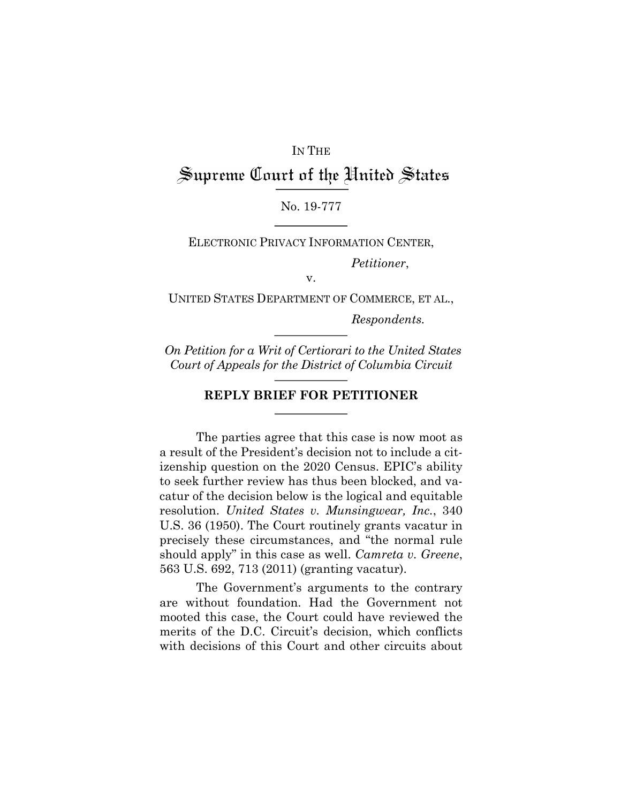### IN THE

# Supreme Court of the United States

### No. 19-777

ELECTRONIC PRIVACY INFORMATION CENTER,

*Petitioner*,

v.

UNITED STATES DEPARTMENT OF COMMERCE, ET AL., *Respondents.*

*On Petition for a Writ of Certiorari to the United States Court of Appeals for the District of Columbia Circuit*

### **REPLY BRIEF FOR PETITIONER**

The parties agree that this case is now moot as a result of the President's decision not to include a citizenship question on the 2020 Census. EPIC's ability to seek further review has thus been blocked, and vacatur of the decision below is the logical and equitable resolution. *United States v. Munsingwear, Inc.*, 340 U.S. 36 (1950). The Court routinely grants vacatur in precisely these circumstances, and "the normal rule should apply" in this case as well. *Camreta v. Greene*, 563 U.S. 692, 713 (2011) (granting vacatur).

The Government's arguments to the contrary are without foundation. Had the Government not mooted this case, the Court could have reviewed the merits of the D.C. Circuit's decision, which conflicts with decisions of this Court and other circuits about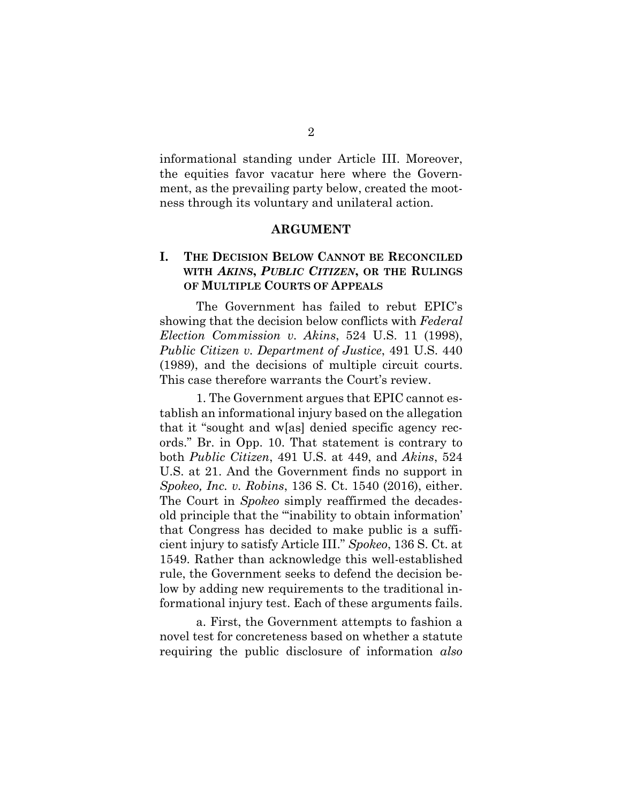informational standing under Article III. Moreover, the equities favor vacatur here where the Government, as the prevailing party below, created the mootness through its voluntary and unilateral action.

#### **ARGUMENT**

### **I. THE DECISION BELOW CANNOT BE RECONCILED WITH** *AKINS***,** *PUBLIC CITIZEN***, OR THE RULINGS OF MULTIPLE COURTS OF APPEALS**

The Government has failed to rebut EPIC's showing that the decision below conflicts with *Federal Election Commission v. Akins*, 524 U.S. 11 (1998), *Public Citizen v. Department of Justice*, 491 U.S. 440 (1989), and the decisions of multiple circuit courts. This case therefore warrants the Court's review.

1. The Government argues that EPIC cannot establish an informational injury based on the allegation that it "sought and w[as] denied specific agency records." Br. in Opp. 10. That statement is contrary to both *Public Citizen*, 491 U.S. at 449, and *Akins*, 524 U.S. at 21. And the Government finds no support in *Spokeo, Inc. v. Robins*, 136 S. Ct. 1540 (2016), either. The Court in *Spokeo* simply reaffirmed the decadesold principle that the "'inability to obtain information' that Congress has decided to make public is a sufficient injury to satisfy Article III." *Spokeo*, 136 S. Ct. at 1549. Rather than acknowledge this well-established rule, the Government seeks to defend the decision below by adding new requirements to the traditional informational injury test. Each of these arguments fails.

a. First, the Government attempts to fashion a novel test for concreteness based on whether a statute requiring the public disclosure of information *also*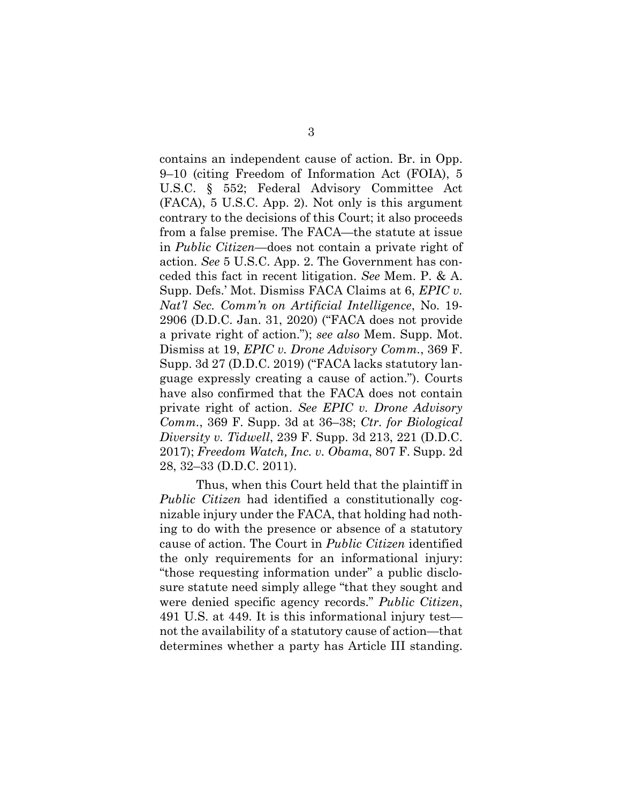contains an independent cause of action. Br. in Opp. 9–10 (citing Freedom of Information Act (FOIA), 5 U.S.C. § 552; Federal Advisory Committee Act (FACA), 5 U.S.C. App. 2). Not only is this argument contrary to the decisions of this Court; it also proceeds from a false premise. The FACA—the statute at issue in *Public Citizen*—does not contain a private right of action. *See* 5 U.S.C. App. 2. The Government has conceded this fact in recent litigation. *See* Mem. P. & A. Supp. Defs.' Mot. Dismiss FACA Claims at 6, *EPIC v. Nat'l Sec. Comm'n on Artificial Intelligence*, No. 19- 2906 (D.D.C. Jan. 31, 2020) ("FACA does not provide a private right of action."); *see also* Mem. Supp. Mot. Dismiss at 19, *EPIC v. Drone Advisory Comm.*, 369 F. Supp. 3d 27 (D.D.C. 2019) ("FACA lacks statutory language expressly creating a cause of action."). Courts have also confirmed that the FACA does not contain private right of action. *See EPIC v. Drone Advisory Comm.*, 369 F. Supp. 3d at 36–38; *Ctr. for Biological Diversity v. Tidwell*, 239 F. Supp. 3d 213, 221 (D.D.C. 2017); *Freedom Watch, Inc. v. Obama*, 807 F. Supp. 2d 28, 32–33 (D.D.C. 2011).

Thus, when this Court held that the plaintiff in *Public Citizen* had identified a constitutionally cognizable injury under the FACA, that holding had nothing to do with the presence or absence of a statutory cause of action. The Court in *Public Citizen* identified the only requirements for an informational injury: "those requesting information under" a public disclosure statute need simply allege "that they sought and were denied specific agency records." *Public Citizen*, 491 U.S. at 449. It is this informational injury test not the availability of a statutory cause of action—that determines whether a party has Article III standing.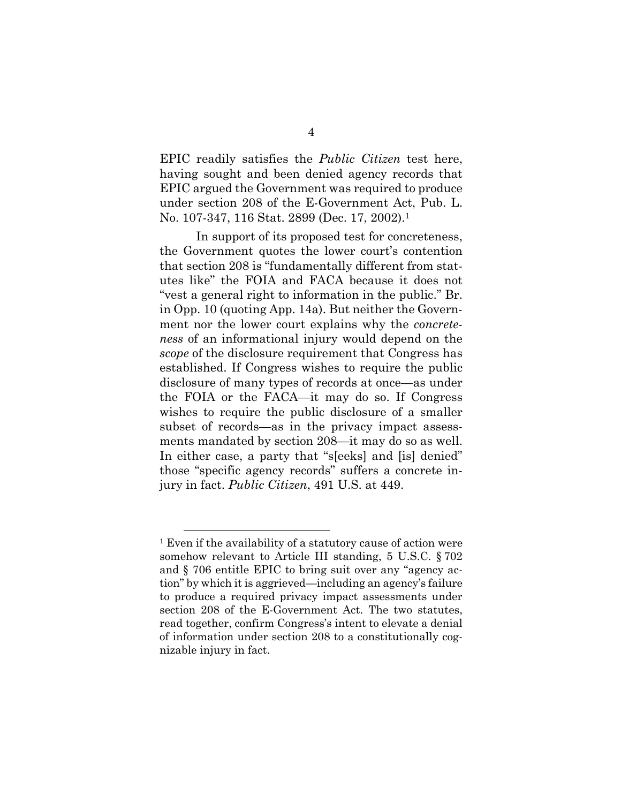EPIC readily satisfies the *Public Citizen* test here, having sought and been denied agency records that EPIC argued the Government was required to produce under section 208 of the E-Government Act, Pub. L. No. 107-347, 116 Stat. 2899 (Dec. 17, 2002).<sup>1</sup>

In support of its proposed test for concreteness, the Government quotes the lower court's contention that section 208 is "fundamentally different from statutes like" the FOIA and FACA because it does not "vest a general right to information in the public." Br. in Opp. 10 (quoting App. 14a). But neither the Government nor the lower court explains why the *concreteness* of an informational injury would depend on the *scope* of the disclosure requirement that Congress has established. If Congress wishes to require the public disclosure of many types of records at once—as under the FOIA or the FACA—it may do so. If Congress wishes to require the public disclosure of a smaller subset of records—as in the privacy impact assessments mandated by section 208—it may do so as well. In either case, a party that "s[eeks] and [is] denied" those "specific agency records" suffers a concrete injury in fact. *Public Citizen*, 491 U.S. at 449.

<sup>&</sup>lt;sup>1</sup> Even if the availability of a statutory cause of action were somehow relevant to Article III standing, 5 U.S.C. § 702 and § 706 entitle EPIC to bring suit over any "agency action" by which it is aggrieved—including an agency's failure to produce a required privacy impact assessments under section 208 of the E-Government Act. The two statutes, read together, confirm Congress's intent to elevate a denial of information under section 208 to a constitutionally cognizable injury in fact.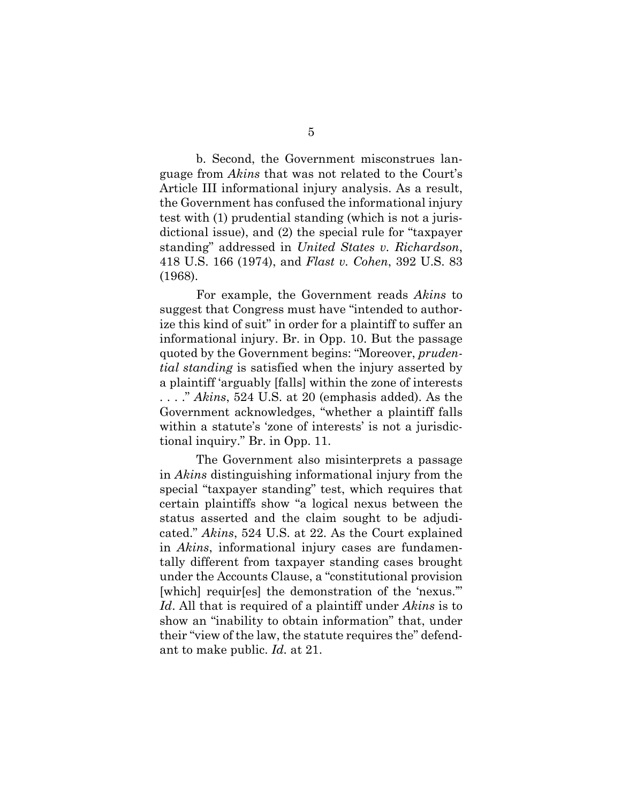b. Second, the Government misconstrues language from *Akins* that was not related to the Court's Article III informational injury analysis. As a result, the Government has confused the informational injury test with (1) prudential standing (which is not a jurisdictional issue), and (2) the special rule for "taxpayer standing" addressed in *United States v. Richardson*, 418 U.S. 166 (1974), and *Flast v. Cohen*, 392 U.S. 83 (1968).

For example, the Government reads *Akins* to suggest that Congress must have "intended to authorize this kind of suit" in order for a plaintiff to suffer an informational injury. Br. in Opp. 10. But the passage quoted by the Government begins: "Moreover, *prudential standing* is satisfied when the injury asserted by a plaintiff 'arguably [falls] within the zone of interests . . . ." *Akins*, 524 U.S. at 20 (emphasis added). As the Government acknowledges, "whether a plaintiff falls within a statute's 'zone of interests' is not a jurisdictional inquiry." Br. in Opp. 11.

The Government also misinterprets a passage in *Akins* distinguishing informational injury from the special "taxpayer standing" test, which requires that certain plaintiffs show "a logical nexus between the status asserted and the claim sought to be adjudicated." *Akins*, 524 U.S. at 22. As the Court explained in *Akins*, informational injury cases are fundamentally different from taxpayer standing cases brought under the Accounts Clause, a "constitutional provision [which] requir[es] the demonstration of the 'nexus." *Id*. All that is required of a plaintiff under *Akins* is to show an "inability to obtain information" that, under their "view of the law, the statute requires the" defendant to make public. *Id.* at 21.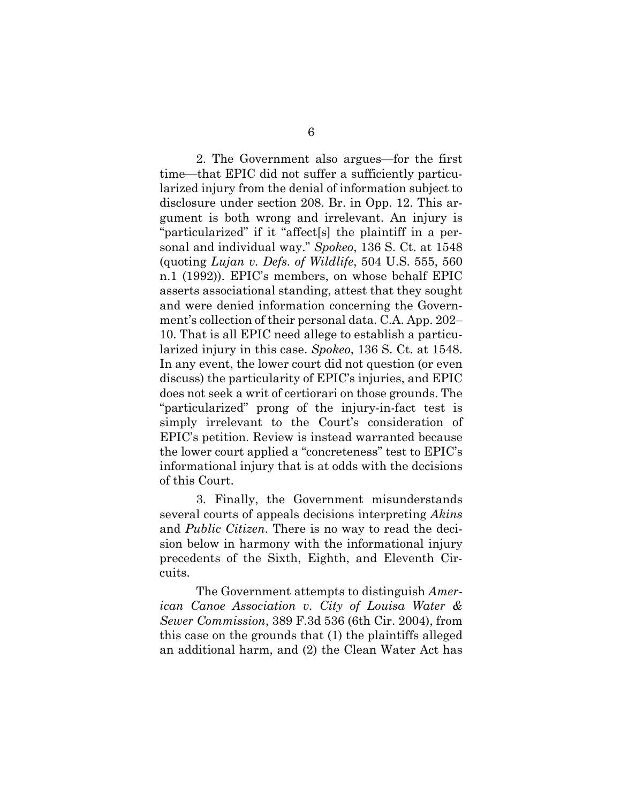2. The Government also argues—for the first time—that EPIC did not suffer a sufficiently particularized injury from the denial of information subject to disclosure under section 208. Br. in Opp. 12. This argument is both wrong and irrelevant. An injury is "particularized" if it "affect[s] the plaintiff in a personal and individual way." *Spokeo*, 136 S. Ct. at 1548 (quoting *Lujan v. Defs. of Wildlife*, 504 U.S. 555, 560 n.1 (1992)). EPIC's members, on whose behalf EPIC asserts associational standing, attest that they sought and were denied information concerning the Government's collection of their personal data. C.A. App. 202– 10. That is all EPIC need allege to establish a particularized injury in this case. *Spokeo*, 136 S. Ct. at 1548. In any event, the lower court did not question (or even discuss) the particularity of EPIC's injuries, and EPIC does not seek a writ of certiorari on those grounds. The "particularized" prong of the injury-in-fact test is simply irrelevant to the Court's consideration of EPIC's petition. Review is instead warranted because the lower court applied a "concreteness" test to EPIC's informational injury that is at odds with the decisions of this Court.

3. Finally, the Government misunderstands several courts of appeals decisions interpreting *Akins*  and *Public Citizen*. There is no way to read the decision below in harmony with the informational injury precedents of the Sixth, Eighth, and Eleventh Circuits.

The Government attempts to distinguish *American Canoe Association v. City of Louisa Water & Sewer Commission*, 389 F.3d 536 (6th Cir. 2004), from this case on the grounds that (1) the plaintiffs alleged an additional harm, and (2) the Clean Water Act has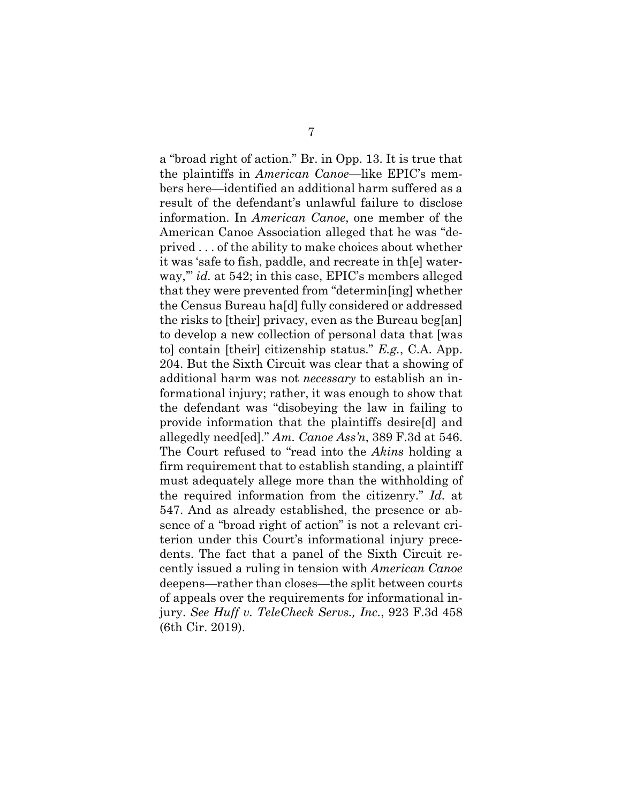a "broad right of action." Br. in Opp. 13. It is true that the plaintiffs in *American Canoe*—like EPIC's members here—identified an additional harm suffered as a result of the defendant's unlawful failure to disclose information. In *American Canoe*, one member of the American Canoe Association alleged that he was "deprived . . . of the ability to make choices about whether it was 'safe to fish, paddle, and recreate in th[e] waterway,'" *id.* at 542; in this case, EPIC's members alleged that they were prevented from "determin[ing] whether the Census Bureau ha[d] fully considered or addressed the risks to [their] privacy, even as the Bureau beg[an] to develop a new collection of personal data that [was to] contain [their] citizenship status." *E.g.*, C.A. App. 204. But the Sixth Circuit was clear that a showing of additional harm was not *necessary* to establish an informational injury; rather, it was enough to show that the defendant was "disobeying the law in failing to provide information that the plaintiffs desire[d] and allegedly need[ed]." *Am. Canoe Ass'n*, 389 F.3d at 546. The Court refused to "read into the *Akins* holding a firm requirement that to establish standing, a plaintiff must adequately allege more than the withholding of the required information from the citizenry." *Id.* at 547. And as already established, the presence or absence of a "broad right of action" is not a relevant criterion under this Court's informational injury precedents. The fact that a panel of the Sixth Circuit recently issued a ruling in tension with *American Canoe*  deepens—rather than closes—the split between courts of appeals over the requirements for informational injury. *See Huff v. TeleCheck Servs., Inc.*, 923 F.3d 458 (6th Cir. 2019).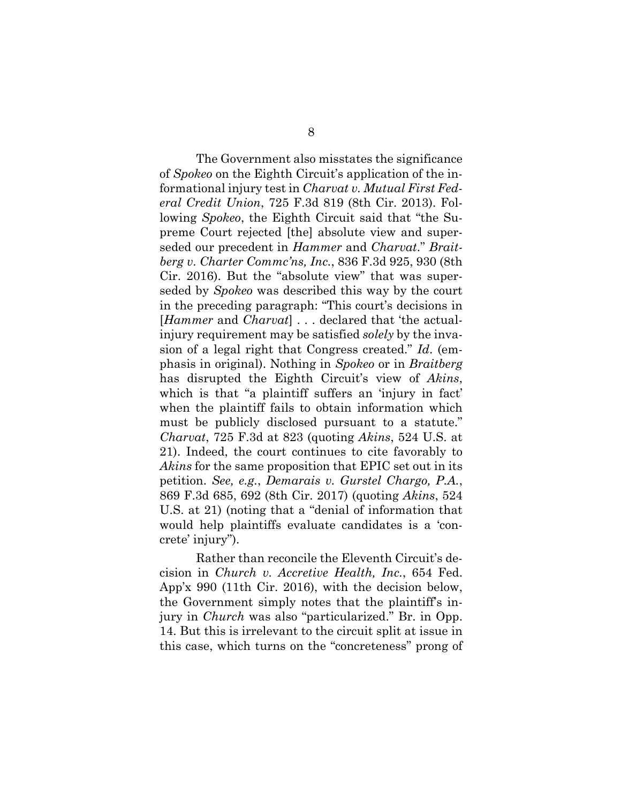The Government also misstates the significance of *Spokeo* on the Eighth Circuit's application of the informational injury test in *Charvat v. Mutual First Federal Credit Union*, 725 F.3d 819 (8th Cir. 2013). Following *Spokeo*, the Eighth Circuit said that "the Supreme Court rejected [the] absolute view and superseded our precedent in *Hammer* and *Charvat*." *Braitberg v. Charter Commc'ns, Inc.*, 836 F.3d 925, 930 (8th Cir. 2016). But the "absolute view" that was superseded by *Spokeo* was described this way by the court in the preceding paragraph: "This court's decisions in [*Hammer* and *Charvat*] . . . declared that 'the actualinjury requirement may be satisfied *solely* by the invasion of a legal right that Congress created." *Id*. (emphasis in original). Nothing in *Spokeo* or in *Braitberg* has disrupted the Eighth Circuit's view of *Akins*, which is that "a plaintiff suffers an 'injury in fact' when the plaintiff fails to obtain information which must be publicly disclosed pursuant to a statute." *Charvat*, 725 F.3d at 823 (quoting *Akins*, 524 U.S. at 21). Indeed, the court continues to cite favorably to *Akins* for the same proposition that EPIC set out in its petition. *See, e.g.*, *Demarais v. Gurstel Chargo, P.A.*, 869 F.3d 685, 692 (8th Cir. 2017) (quoting *Akins*, 524 U.S. at 21) (noting that a "denial of information that would help plaintiffs evaluate candidates is a 'concrete' injury").

Rather than reconcile the Eleventh Circuit's decision in *Church v. Accretive Health, Inc.*, 654 Fed. App'x 990 (11th Cir. 2016), with the decision below, the Government simply notes that the plaintiff's injury in *Church* was also "particularized." Br. in Opp. 14. But this is irrelevant to the circuit split at issue in this case, which turns on the "concreteness" prong of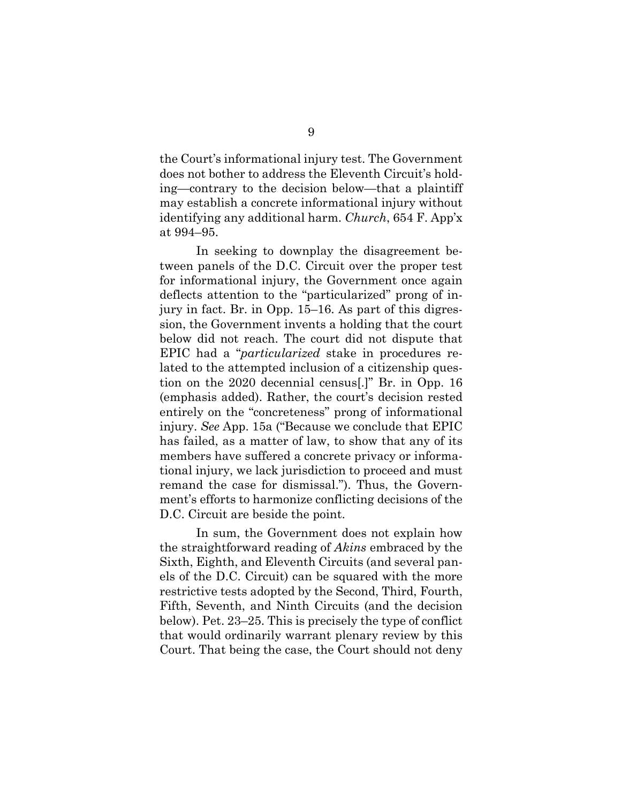the Court's informational injury test. The Government does not bother to address the Eleventh Circuit's holding—contrary to the decision below—that a plaintiff may establish a concrete informational injury without identifying any additional harm. *Church*, 654 F. App'x at 994–95.

In seeking to downplay the disagreement between panels of the D.C. Circuit over the proper test for informational injury, the Government once again deflects attention to the "particularized" prong of injury in fact. Br. in Opp. 15–16. As part of this digression, the Government invents a holding that the court below did not reach. The court did not dispute that EPIC had a "*particularized* stake in procedures related to the attempted inclusion of a citizenship question on the 2020 decennial census[.]" Br. in Opp. 16 (emphasis added). Rather, the court's decision rested entirely on the "concreteness" prong of informational injury. *See* App. 15a ("Because we conclude that EPIC has failed, as a matter of law, to show that any of its members have suffered a concrete privacy or informational injury, we lack jurisdiction to proceed and must remand the case for dismissal."). Thus, the Government's efforts to harmonize conflicting decisions of the D.C. Circuit are beside the point.

In sum, the Government does not explain how the straightforward reading of *Akins* embraced by the Sixth, Eighth, and Eleventh Circuits (and several panels of the D.C. Circuit) can be squared with the more restrictive tests adopted by the Second, Third, Fourth, Fifth, Seventh, and Ninth Circuits (and the decision below). Pet. 23–25. This is precisely the type of conflict that would ordinarily warrant plenary review by this Court. That being the case, the Court should not deny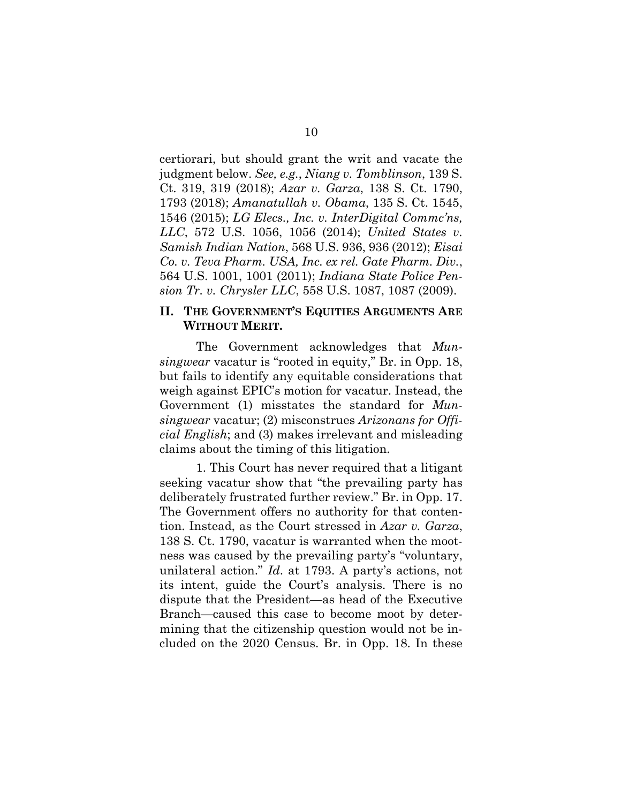certiorari, but should grant the writ and vacate the judgment below. *See, e.g.*, *Niang v. Tomblinson*, 139 S. Ct. 319, 319 (2018); *Azar v. Garza*, 138 S. Ct. 1790, 1793 (2018); *Amanatullah v. Obama*, 135 S. Ct. 1545, 1546 (2015); *LG Elecs., Inc. v. InterDigital Commc'ns, LLC*, 572 U.S. 1056, 1056 (2014); *United States v. Samish Indian Nation*, 568 U.S. 936, 936 (2012); *Eisai Co. v. Teva Pharm. USA, Inc. ex rel. Gate Pharm. Div.*, 564 U.S. 1001, 1001 (2011); *Indiana State Police Pension Tr. v. Chrysler LLC*, 558 U.S. 1087, 1087 (2009).

### **II. THE GOVERNMENT'S EQUITIES ARGUMENTS ARE WITHOUT MERIT.**

The Government acknowledges that *Munsingwear* vacatur is "rooted in equity," Br. in Opp. 18, but fails to identify any equitable considerations that weigh against EPIC's motion for vacatur. Instead, the Government (1) misstates the standard for *Munsingwear* vacatur; (2) misconstrues *Arizonans for Official English*; and (3) makes irrelevant and misleading claims about the timing of this litigation.

1. This Court has never required that a litigant seeking vacatur show that "the prevailing party has deliberately frustrated further review." Br. in Opp. 17. The Government offers no authority for that contention. Instead, as the Court stressed in *Azar v. Garza*, 138 S. Ct. 1790, vacatur is warranted when the mootness was caused by the prevailing party's "voluntary, unilateral action." *Id*. at 1793. A party's actions, not its intent, guide the Court's analysis. There is no dispute that the President—as head of the Executive Branch—caused this case to become moot by determining that the citizenship question would not be included on the 2020 Census. Br. in Opp. 18. In these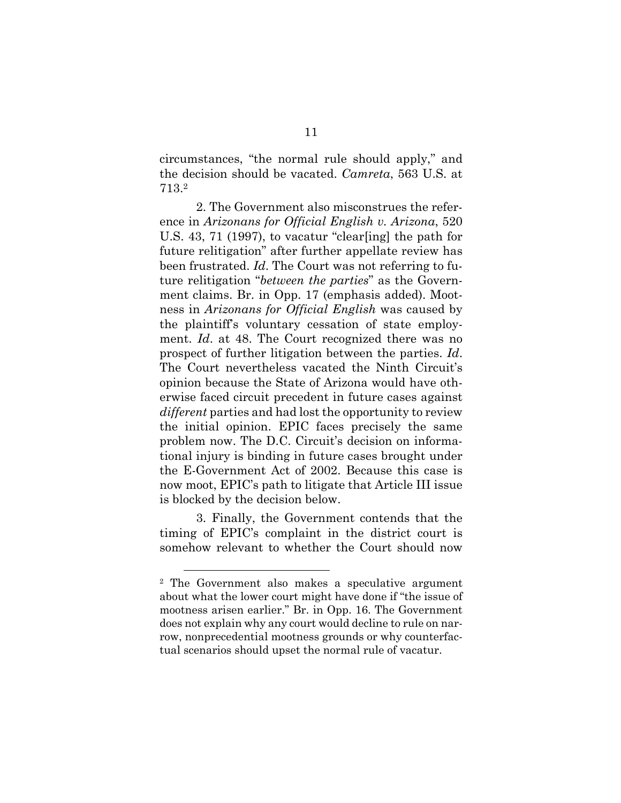circumstances, "the normal rule should apply," and the decision should be vacated. *Camreta*, 563 U.S. at 713.2

2. The Government also misconstrues the reference in *Arizonans for Official English v. Arizona*, 520 U.S. 43, 71 (1997), to vacatur "clear[ing] the path for future relitigation" after further appellate review has been frustrated. *Id*. The Court was not referring to future relitigation "*between the parties*" as the Government claims. Br. in Opp. 17 (emphasis added). Mootness in *Arizonans for Official English* was caused by the plaintiff's voluntary cessation of state employment. *Id*. at 48. The Court recognized there was no prospect of further litigation between the parties. *Id*. The Court nevertheless vacated the Ninth Circuit's opinion because the State of Arizona would have otherwise faced circuit precedent in future cases against *different* parties and had lost the opportunity to review the initial opinion. EPIC faces precisely the same problem now. The D.C. Circuit's decision on informational injury is binding in future cases brought under the E-Government Act of 2002. Because this case is now moot, EPIC's path to litigate that Article III issue is blocked by the decision below.

3. Finally, the Government contends that the timing of EPIC's complaint in the district court is somehow relevant to whether the Court should now

<sup>2</sup> The Government also makes a speculative argument about what the lower court might have done if "the issue of mootness arisen earlier." Br. in Opp. 16. The Government does not explain why any court would decline to rule on narrow, nonprecedential mootness grounds or why counterfactual scenarios should upset the normal rule of vacatur.